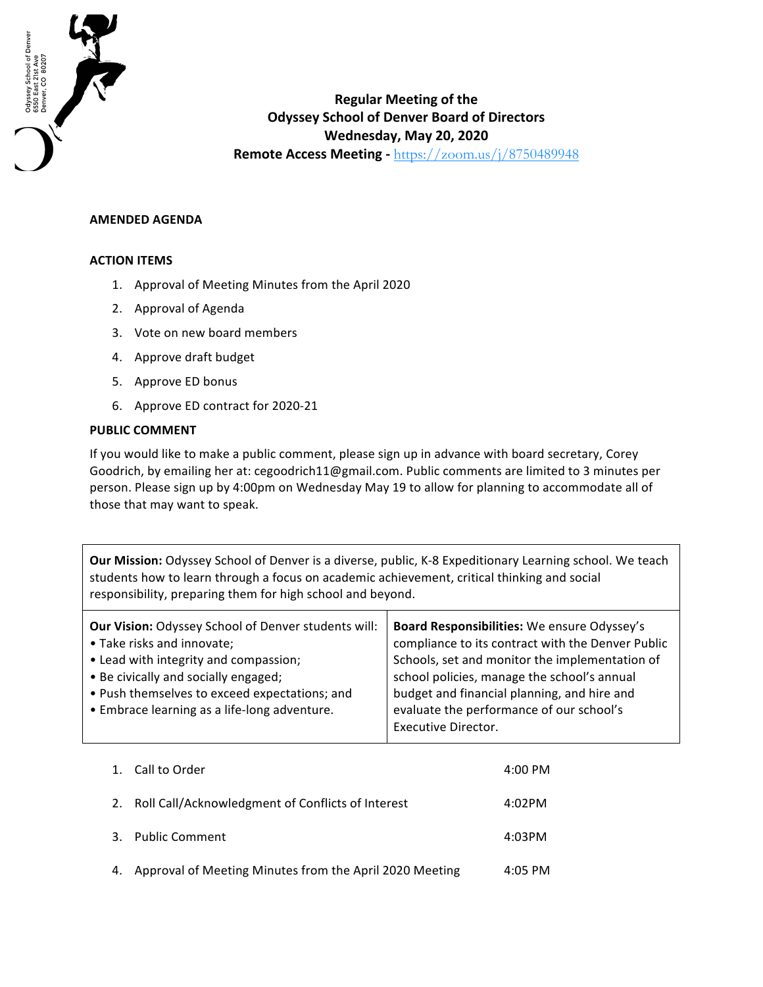

## **Regular Meeting of the Odyssey School of Denver Board of Directors Wednesday, May 20, 2020 Remote Access Meeting - https://zoom.us/j/8750489948**

## **AMENDED AGENDA**

## **ACTION ITEMS**

- 1. Approval of Meeting Minutes from the April 2020
- 2. Approval of Agenda
- 3. Vote on new board members
- 4. Approve draft budget
- 5. Approve ED bonus
- 6. Approve ED contract for 2020-21

## **PUBLIC COMMENT**

If you would like to make a public comment, please sign up in advance with board secretary, Corey Goodrich, by emailing her at: cegoodrich11@gmail.com. Public comments are limited to 3 minutes per person. Please sign up by 4:00pm on Wednesday May 19 to allow for planning to accommodate all of those that may want to speak.

**Our Mission:** Odyssey School of Denver is a diverse, public, K-8 Expeditionary Learning school. We teach students how to learn through a focus on academic achievement, critical thinking and social responsibility, preparing them for high school and beyond.

| <b>Our Vision: Odyssey School of Denver students will:</b> | Board Responsibilities: We ensure Odyssey's       |
|------------------------------------------------------------|---------------------------------------------------|
| • Take risks and innovate;                                 | compliance to its contract with the Denver Public |
| • Lead with integrity and compassion;                      | Schools, set and monitor the implementation of    |
| • Be civically and socially engaged;                       | school policies, manage the school's annual       |
| • Push themselves to exceed expectations; and              | budget and financial planning, and hire and       |
| • Embrace learning as a life-long adventure.               | evaluate the performance of our school's          |
|                                                            | Executive Director.                               |

| $\mathbf{1}$ . | Call to Order                                           | 4:00 PM |
|----------------|---------------------------------------------------------|---------|
| 2.             | Roll Call/Acknowledgment of Conflicts of Interest       | 4:02PM  |
| 3.             | <b>Public Comment</b>                                   | 4:03PM  |
| 4.             | Approval of Meeting Minutes from the April 2020 Meeting | 4:05 PM |